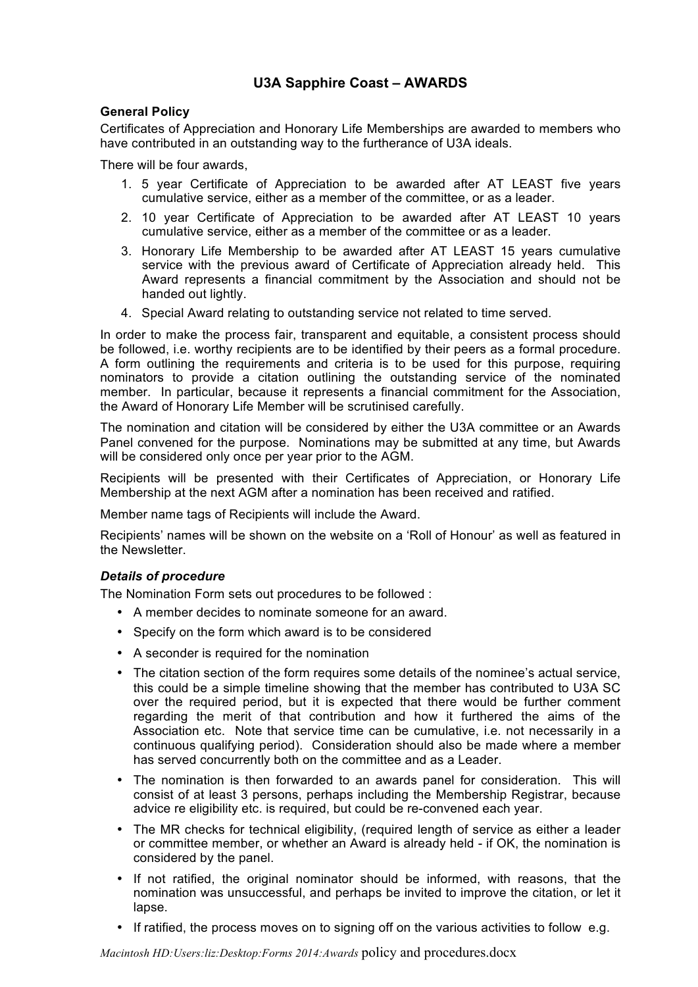# **U3A Sapphire Coast – AWARDS**

# **General Policy**

Certificates of Appreciation and Honorary Life Memberships are awarded to members who have contributed in an outstanding way to the furtherance of U3A ideals.

There will be four awards,

- 1. 5 year Certificate of Appreciation to be awarded after AT LEAST five years cumulative service, either as a member of the committee, or as a leader.
- 2. 10 year Certificate of Appreciation to be awarded after AT LEAST 10 years cumulative service, either as a member of the committee or as a leader.
- 3. Honorary Life Membership to be awarded after AT LEAST 15 years cumulative service with the previous award of Certificate of Appreciation already held. This Award represents a financial commitment by the Association and should not be handed out lightly.
- 4. Special Award relating to outstanding service not related to time served.

In order to make the process fair, transparent and equitable, a consistent process should be followed, i.e. worthy recipients are to be identified by their peers as a formal procedure. A form outlining the requirements and criteria is to be used for this purpose, requiring nominators to provide a citation outlining the outstanding service of the nominated member. In particular, because it represents a financial commitment for the Association, the Award of Honorary Life Member will be scrutinised carefully.

The nomination and citation will be considered by either the U3A committee or an Awards Panel convened for the purpose. Nominations may be submitted at any time, but Awards will be considered only once per year prior to the AGM.

Recipients will be presented with their Certificates of Appreciation, or Honorary Life Membership at the next AGM after a nomination has been received and ratified.

Member name tags of Recipients will include the Award.

Recipients' names will be shown on the website on a 'Roll of Honour' as well as featured in the Newsletter.

# *Details of procedure*

The Nomination Form sets out procedures to be followed :

- A member decides to nominate someone for an award.
- Specify on the form which award is to be considered
- A seconder is required for the nomination
- The citation section of the form requires some details of the nominee's actual service, this could be a simple timeline showing that the member has contributed to U3A SC over the required period, but it is expected that there would be further comment regarding the merit of that contribution and how it furthered the aims of the Association etc. Note that service time can be cumulative, i.e. not necessarily in a continuous qualifying period). Consideration should also be made where a member has served concurrently both on the committee and as a Leader.
- The nomination is then forwarded to an awards panel for consideration. This will consist of at least 3 persons, perhaps including the Membership Registrar, because advice re eligibility etc. is required, but could be re-convened each year.
- The MR checks for technical eligibility, (required length of service as either a leader or committee member, or whether an Award is already held - if OK, the nomination is considered by the panel.
- If not ratified, the original nominator should be informed, with reasons, that the nomination was unsuccessful, and perhaps be invited to improve the citation, or let it lapse.
- If ratified, the process moves on to signing off on the various activities to follow e.g.

*Macintosh HD:Users:liz:Desktop:Forms 2014:Awards* policy and procedures.docx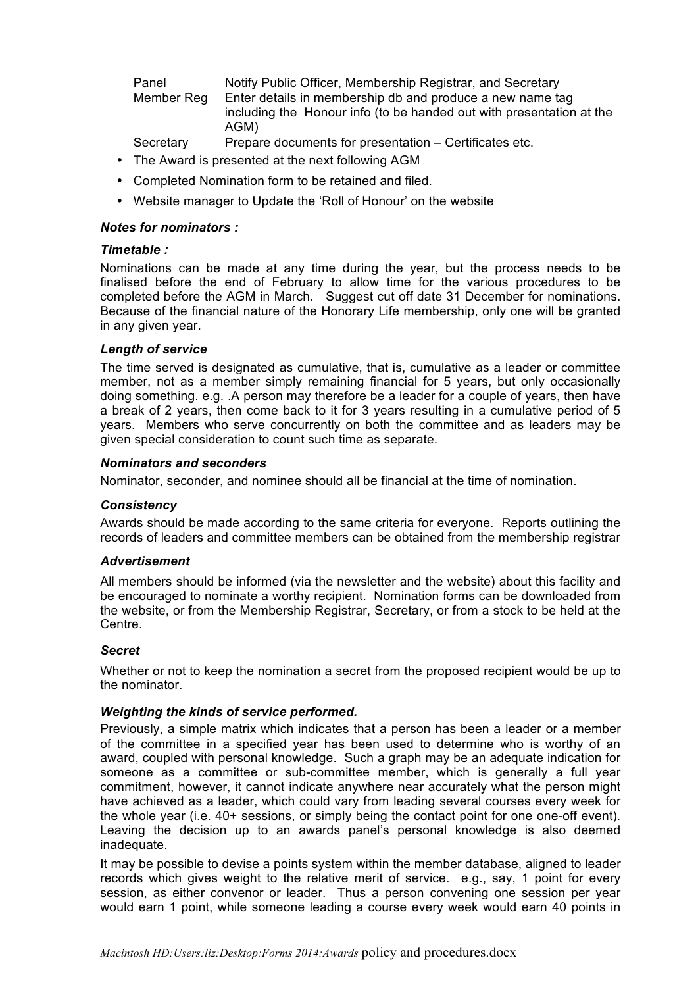Panel Notify Public Officer, Membership Registrar, and Secretary Member Reg Enter details in membership db and produce a new name tag including the Honour info (to be handed out with presentation at the AGM)

- Secretary Prepare documents for presentation Certificates etc.
- The Award is presented at the next following AGM
- Completed Nomination form to be retained and filed.
- Website manager to Update the 'Roll of Honour' on the website

# *Notes for nominators :*

#### *Timetable :*

Nominations can be made at any time during the year, but the process needs to be finalised before the end of February to allow time for the various procedures to be completed before the AGM in March. Suggest cut off date 31 December for nominations. Because of the financial nature of the Honorary Life membership, only one will be granted in any given year.

# *Length of service*

The time served is designated as cumulative, that is, cumulative as a leader or committee member, not as a member simply remaining financial for 5 years, but only occasionally doing something. e.g. .A person may therefore be a leader for a couple of years, then have a break of 2 years, then come back to it for 3 years resulting in a cumulative period of 5 years. Members who serve concurrently on both the committee and as leaders may be given special consideration to count such time as separate.

#### *Nominators and seconders*

Nominator, seconder, and nominee should all be financial at the time of nomination.

# *Consistency*

Awards should be made according to the same criteria for everyone. Reports outlining the records of leaders and committee members can be obtained from the membership registrar

#### *Advertisement*

All members should be informed (via the newsletter and the website) about this facility and be encouraged to nominate a worthy recipient. Nomination forms can be downloaded from the website, or from the Membership Registrar, Secretary, or from a stock to be held at the Centre.

# *Secret*

Whether or not to keep the nomination a secret from the proposed recipient would be up to the nominator.

# *Weighting the kinds of service performed.*

Previously, a simple matrix which indicates that a person has been a leader or a member of the committee in a specified year has been used to determine who is worthy of an award, coupled with personal knowledge. Such a graph may be an adequate indication for someone as a committee or sub-committee member, which is generally a full year commitment, however, it cannot indicate anywhere near accurately what the person might have achieved as a leader, which could vary from leading several courses every week for the whole year (i.e. 40+ sessions, or simply being the contact point for one one-off event). Leaving the decision up to an awards panel's personal knowledge is also deemed inadequate.

It may be possible to devise a points system within the member database, aligned to leader records which gives weight to the relative merit of service. e.g., say, 1 point for every session, as either convenor or leader. Thus a person convening one session per year would earn 1 point, while someone leading a course every week would earn 40 points in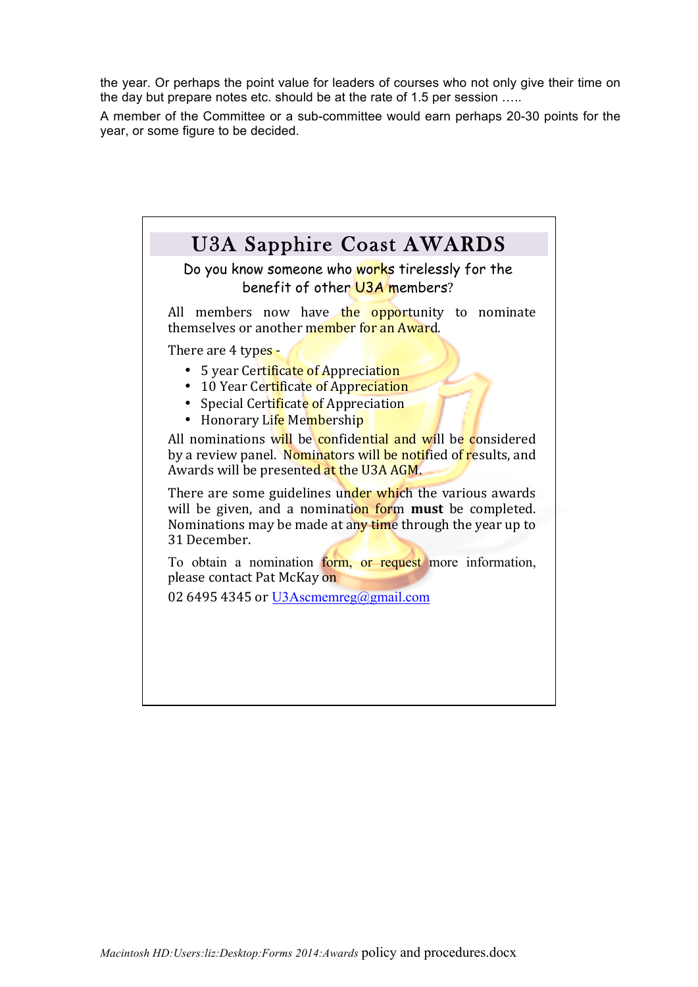the year. Or perhaps the point value for leaders of courses who not only give their time on the day but prepare notes etc. should be at the rate of 1.5 per session …..

A member of the Committee or a sub-committee would earn perhaps 20-30 points for the year, or some figure to be decided.